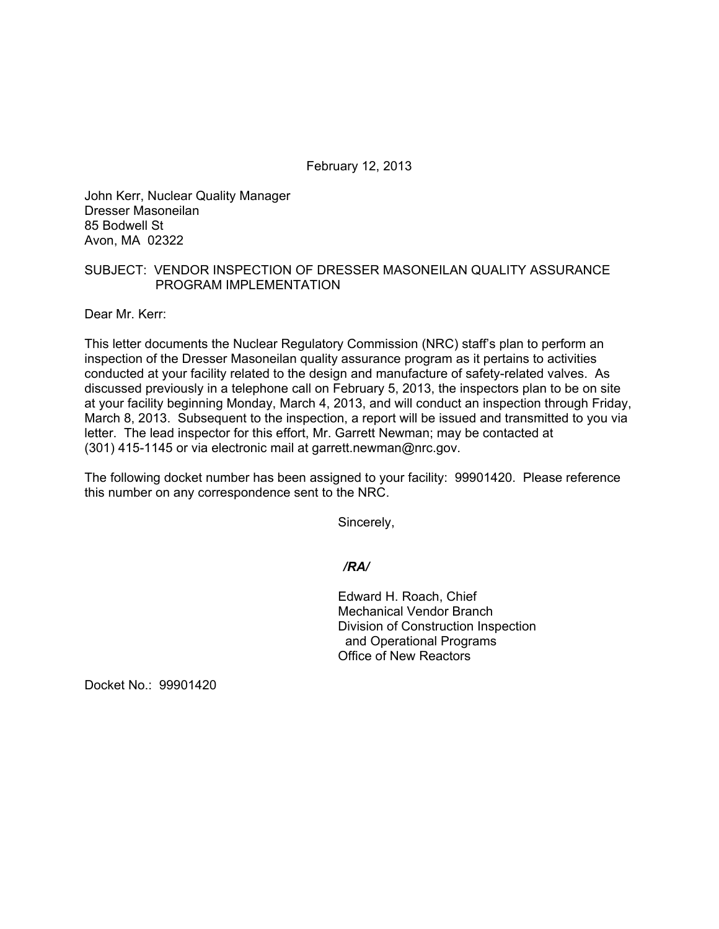February 12, 2013

John Kerr, Nuclear Quality Manager Dresser Masoneilan 85 Bodwell St Avon, MA 02322

## SUBJECT: VENDOR INSPECTION OF DRESSER MASONEILAN QUALITY ASSURANCE PROGRAM IMPLEMENTATION

Dear Mr. Kerr:

This letter documents the Nuclear Regulatory Commission (NRC) staff's plan to perform an inspection of the Dresser Masoneilan quality assurance program as it pertains to activities conducted at your facility related to the design and manufacture of safety-related valves. As discussed previously in a telephone call on February 5, 2013, the inspectors plan to be on site at your facility beginning Monday, March 4, 2013, and will conduct an inspection through Friday, March 8, 2013. Subsequent to the inspection, a report will be issued and transmitted to you via letter. The lead inspector for this effort, Mr. Garrett Newman; may be contacted at (301) 415-1145 or via electronic mail at garrett.newman@nrc.gov.

The following docket number has been assigned to your facility: 99901420. Please reference this number on any correspondence sent to the NRC.

Sincerely,

*/RA/* 

 Edward H. Roach, Chief Mechanical Vendor Branch Division of Construction Inspection and Operational Programs Office of New Reactors

Docket No.: 99901420